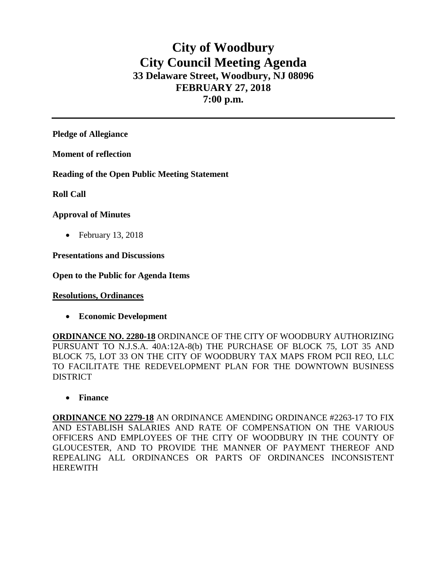# **City of Woodbury City Council Meeting Agenda 33 Delaware Street, Woodbury, NJ 08096 FEBRUARY 27, 2018 7:00 p.m.**

**Pledge of Allegiance**

**Moment of reflection**

**Reading of the Open Public Meeting Statement**

**Roll Call**

## **Approval of Minutes**

• February 13, 2018

**Presentations and Discussions**

**Open to the Public for Agenda Items**

**Resolutions, Ordinances**

• **Economic Development**

**ORDINANCE NO. 2280-18** ORDINANCE OF THE CITY OF WOODBURY AUTHORIZING PURSUANT TO N.J.S.A. 40A:12A-8(b) THE PURCHASE OF BLOCK 75, LOT 35 AND BLOCK 75, LOT 33 ON THE CITY OF WOODBURY TAX MAPS FROM PCII REO, LLC TO FACILITATE THE REDEVELOPMENT PLAN FOR THE DOWNTOWN BUSINESS **DISTRICT** 

• **Finance** 

**ORDINANCE NO 2279-18** AN ORDINANCE AMENDING ORDINANCE #2263-17 TO FIX AND ESTABLISH SALARIES AND RATE OF COMPENSATION ON THE VARIOUS OFFICERS AND EMPLOYEES OF THE CITY OF WOODBURY IN THE COUNTY OF GLOUCESTER, AND TO PROVIDE THE MANNER OF PAYMENT THEREOF AND REPEALING ALL ORDINANCES OR PARTS OF ORDINANCES INCONSISTENT HEREWITH